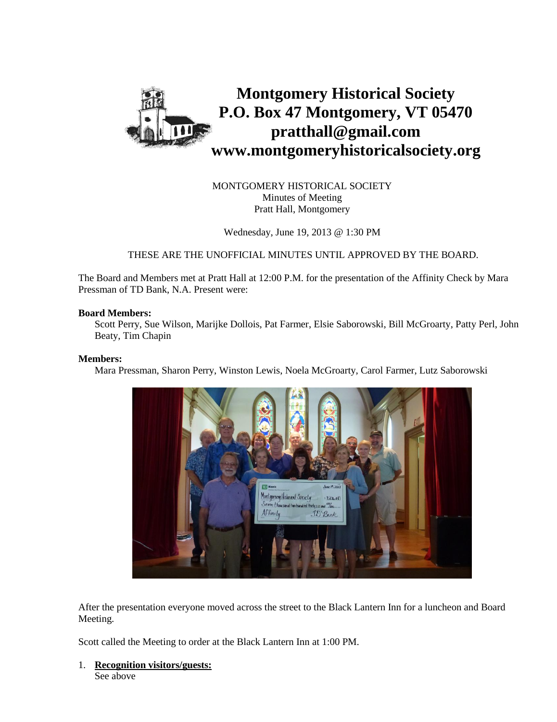

MONTGOMERY HISTORICAL SOCIETY Minutes of Meeting Pratt Hall, Montgomery

Wednesday, June 19, 2013 @ 1:30 PM

THESE ARE THE UNOFFICIAL MINUTES UNTIL APPROVED BY THE BOARD.

The Board and Members met at Pratt Hall at 12:00 P.M. for the presentation of the Affinity Check by Mara Pressman of TD Bank, N.A. Present were:

#### **Board Members:**

Scott Perry, Sue Wilson, Marijke Dollois, Pat Farmer, Elsie Saborowski, Bill McGroarty, Patty Perl, John Beaty, Tim Chapin

# **Members:**

Mara Pressman, Sharon Perry, Winston Lewis, Noela McGroarty, Carol Farmer, Lutz Saborowski



After the presentation everyone moved across the street to the Black Lantern Inn for a luncheon and Board Meeting.

Scott called the Meeting to order at the Black Lantern Inn at 1:00 PM.

1. **Recognition visitors/guests:** See above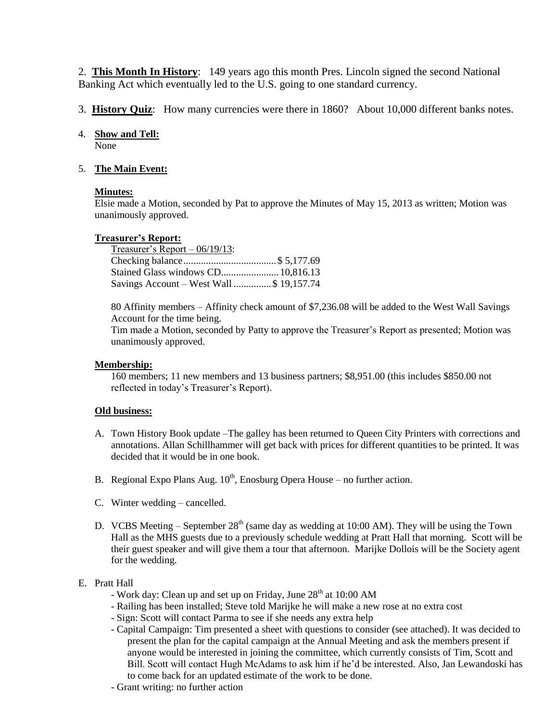2. **This Month In History**: 149 years ago this month Pres. Lincoln signed the second National Banking Act which eventually led to the U.S. going to one standard currency.

3. **History Quiz**: How many currencies were there in 1860? About 10,000 different banks notes.

4. **Show and Tell:** None

# 5. **The Main Event:**

#### **Minutes:**

Elsie made a Motion, seconded by Pat to approve the Minutes of May 15, 2013 as written; Motion was unanimously approved.

# **Treasurer's Report:**

| Treasurer's Report $-06/19/13$ :         |  |
|------------------------------------------|--|
|                                          |  |
|                                          |  |
| Savings Account - West Wall  \$19,157.74 |  |

80 Affinity members – Affinity check amount of \$7,236.08 will be added to the West Wall Savings Account for the time being.

Tim made a Motion, seconded by Patty to approve the Treasurer's Report as presented; Motion was unanimously approved.

#### **Membership:**

160 members; 11 new members and 13 business partners; \$8,951.00 (this includes \$850.00 not reflected in today's Treasurer's Report).

#### **Old business:**

- A. Town History Book update –The galley has been returned to Queen City Printers with corrections and annotations. Allan Schillhammer will get back with prices for different quantities to be printed. It was decided that it would be in one book.
- B. Regional Expo Plans Aug.  $10^{th}$ , Enosburg Opera House no further action.
- C. Winter wedding cancelled.
- D. VCBS Meeting September  $28<sup>th</sup>$  (same day as wedding at 10:00 AM). They will be using the Town Hall as the MHS guests due to a previously schedule wedding at Pratt Hall that morning. Scott will be their guest speaker and will give them a tour that afternoon. Marijke Dollois will be the Society agent for the wedding.

#### E. Pratt Hall

- Work day: Clean up and set up on Friday, June 28<sup>th</sup> at 10:00 AM
- Railing has been installed; Steve told Marijke he will make a new rose at no extra cost
- Sign: Scott will contact Parma to see if she needs any extra help
- Capital Campaign: Tim presented a sheet with questions to consider (see attached). It was decided to present the plan for the capital campaign at the Annual Meeting and ask the members present if anyone would be interested in joining the committee, which currently consists of Tim, Scott and Bill. Scott will contact Hugh McAdams to ask him if he'd be interested. Also, Jan Lewandoski has to come back for an updated estimate of the work to be done.
- Grant writing: no further action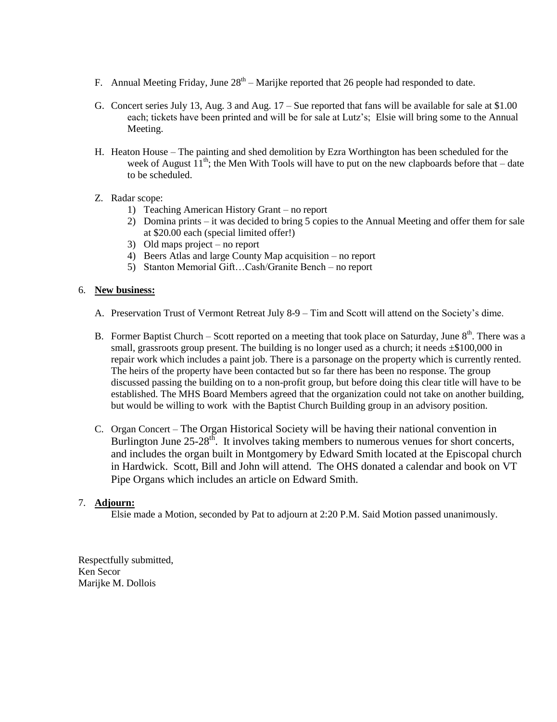- F. Annual Meeting Friday, June  $28<sup>th</sup> -$  Marijke reported that 26 people had responded to date.
- G. Concert series July 13, Aug. 3 and Aug.  $17 S$ ue reported that fans will be available for sale at \$1.00 each; tickets have been printed and will be for sale at Lutz's; Elsie will bring some to the Annual Meeting.
- H. Heaton House The painting and shed demolition by Ezra Worthington has been scheduled for the week of August  $11^{th}$ ; the Men With Tools will have to put on the new clapboards before that – date to be scheduled.
- Z. Radar scope:
	- 1) Teaching American History Grant no report
	- 2) Domina prints it was decided to bring 5 copies to the Annual Meeting and offer them for sale at \$20.00 each (special limited offer!)
	- 3) Old maps project no report
	- 4) Beers Atlas and large County Map acquisition no report
	- 5) Stanton Memorial Gift…Cash/Granite Bench no report

# 6. **New business:**

- A. Preservation Trust of Vermont Retreat July 8-9 Tim and Scott will attend on the Society's dime.
- B. Former Baptist Church Scott reported on a meeting that took place on Saturday, June  $8<sup>th</sup>$ . There was a small, grassroots group present. The building is no longer used as a church; it needs  $\pm \$100,000$  in repair work which includes a paint job. There is a parsonage on the property which is currently rented. The heirs of the property have been contacted but so far there has been no response. The group discussed passing the building on to a non-profit group, but before doing this clear title will have to be established. The MHS Board Members agreed that the organization could not take on another building, but would be willing to work with the Baptist Church Building group in an advisory position.
- C. Organ Concert The Organ Historical Society will be having their national convention in Burlington June 25-28<sup>th</sup>. It involves taking members to numerous venues for short concerts, and includes the organ built in Montgomery by Edward Smith located at the Episcopal church in Hardwick. Scott, Bill and John will attend. The OHS donated a calendar and book on VT Pipe Organs which includes an article on Edward Smith.

#### 7. **Adjourn:**

Elsie made a Motion, seconded by Pat to adjourn at 2:20 P.M. Said Motion passed unanimously.

Respectfully submitted, Ken Secor Marijke M. Dollois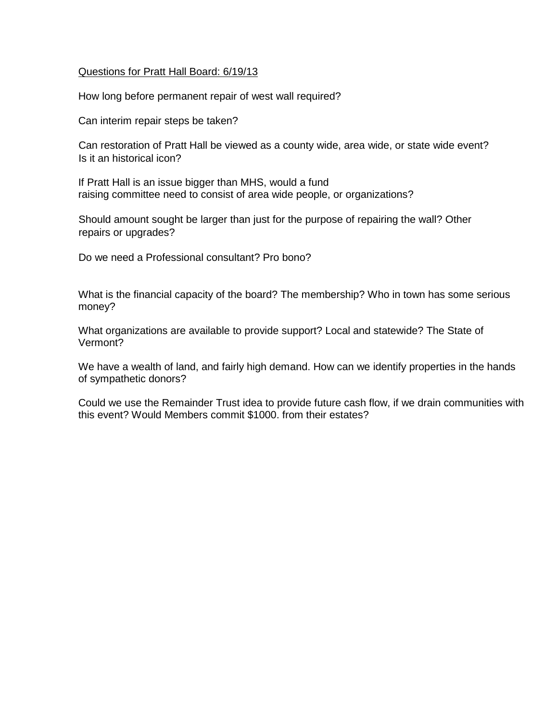# Questions for Pratt Hall Board: 6/19/13

How long before permanent repair of west wall required?

Can interim repair steps be taken?

Can restoration of Pratt Hall be viewed as a county wide, area wide, or state wide event? Is it an historical icon?

If Pratt Hall is an issue bigger than MHS, would a fund raising committee need to consist of area wide people, or organizations?

Should amount sought be larger than just for the purpose of repairing the wall? Other repairs or upgrades?

Do we need a Professional consultant? Pro bono?

What is the financial capacity of the board? The membership? Who in town has some serious money?

What organizations are available to provide support? Local and statewide? The State of Vermont?

We have a wealth of land, and fairly high demand. How can we identify properties in the hands of sympathetic donors?

Could we use the Remainder Trust idea to provide future cash flow, if we drain communities with this event? Would Members commit \$1000. from their estates?